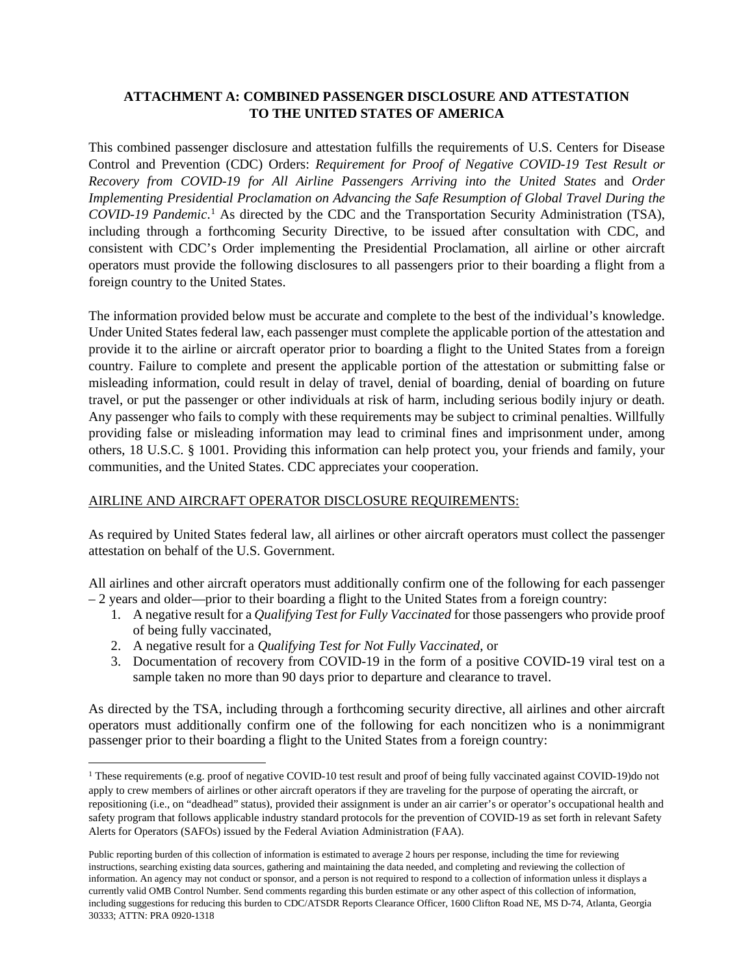## **ATTACHMENT A: COMBINED PASSENGER DISCLOSURE AND ATTESTATION TO THE UNITED STATES OF AMERICA**

This combined passenger disclosure and attestation fulfills the requirements of U.S. Centers for Disease Control and Prevention (CDC) Orders: *Requirement for Proof of Negative COVID-19 Test Result or Recovery from COVID-19 for All Airline Passengers Arriving into the United States* and *Order Implementing Presidential Proclamation on Advancing the Safe Resumption of Global Travel During the COVID-19 Pandemic*. [1](#page-0-0) As directed by the CDC and the Transportation Security Administration (TSA), including through a forthcoming Security Directive, to be issued after consultation with CDC, and consistent with CDC's Order implementing the Presidential Proclamation, all airline or other aircraft operators must provide the following disclosures to all passengers prior to their boarding a flight from a foreign country to the United States.

The information provided below must be accurate and complete to the best of the individual's knowledge. Under United States federal law, each passenger must complete the applicable portion of the attestation and provide it to the airline or aircraft operator prior to boarding a flight to the United States from a foreign country. Failure to complete and present the applicable portion of the attestation or submitting false or misleading information, could result in delay of travel, denial of boarding, denial of boarding on future travel, or put the passenger or other individuals at risk of harm, including serious bodily injury or death. Any passenger who fails to comply with these requirements may be subject to criminal penalties. Willfully providing false or misleading information may lead to criminal fines and imprisonment under, among others, 18 U.S.C. § 1001. Providing this information can help protect you, your friends and family, your communities, and the United States. CDC appreciates your cooperation.

## AIRLINE AND AIRCRAFT OPERATOR DISCLOSURE REQUIREMENTS:

As required by United States federal law, all airlines or other aircraft operators must collect the passenger attestation on behalf of the U.S. Government.

All airlines and other aircraft operators must additionally confirm one of the following for each passenger – 2 years and older––prior to their boarding a flight to the United States from a foreign country:

- 1. A negative result for a *Qualifying Test for Fully Vaccinated* for those passengers who provide proof of being fully vaccinated,
- 2. A negative result for a *Qualifying Test for Not Fully Vaccinated*, or
- 3. Documentation of recovery from COVID-19 in the form of a positive COVID-19 viral test on a sample taken no more than 90 days prior to departure and clearance to travel.

As directed by the TSA, including through a forthcoming security directive, all airlines and other aircraft operators must additionally confirm one of the following for each noncitizen who is a nonimmigrant passenger prior to their boarding a flight to the United States from a foreign country:

<span id="page-0-0"></span><sup>&</sup>lt;sup>1</sup> These requirements (e.g. proof of negative COVID-10 test result and proof of being fully vaccinated against COVID-19)do not apply to crew members of airlines or other aircraft operators if they are traveling for the purpose of operating the aircraft, or repositioning (i.e., on "deadhead" status), provided their assignment is under an air carrier's or operator's occupational health and safety program that follows applicable industry standard protocols for the prevention of COVID-19 as set forth in relevant Safety Alerts for Operators (SAFOs) issued by the Federal Aviation Administration (FAA).

Public reporting burden of this collection of information is estimated to average 2 hours per response, including the time for reviewing instructions, searching existing data sources, gathering and maintaining the data needed, and completing and reviewing the collection of information. An agency may not conduct or sponsor, and a person is not required to respond to a collection of information unless it displays a currently valid OMB Control Number. Send comments regarding this burden estimate or any other aspect of this collection of information, including suggestions for reducing this burden to CDC/ATSDR Reports Clearance Officer, 1600 Clifton Road NE, MS D-74, Atlanta, Georgia 30333; ATTN: PRA 0920-1318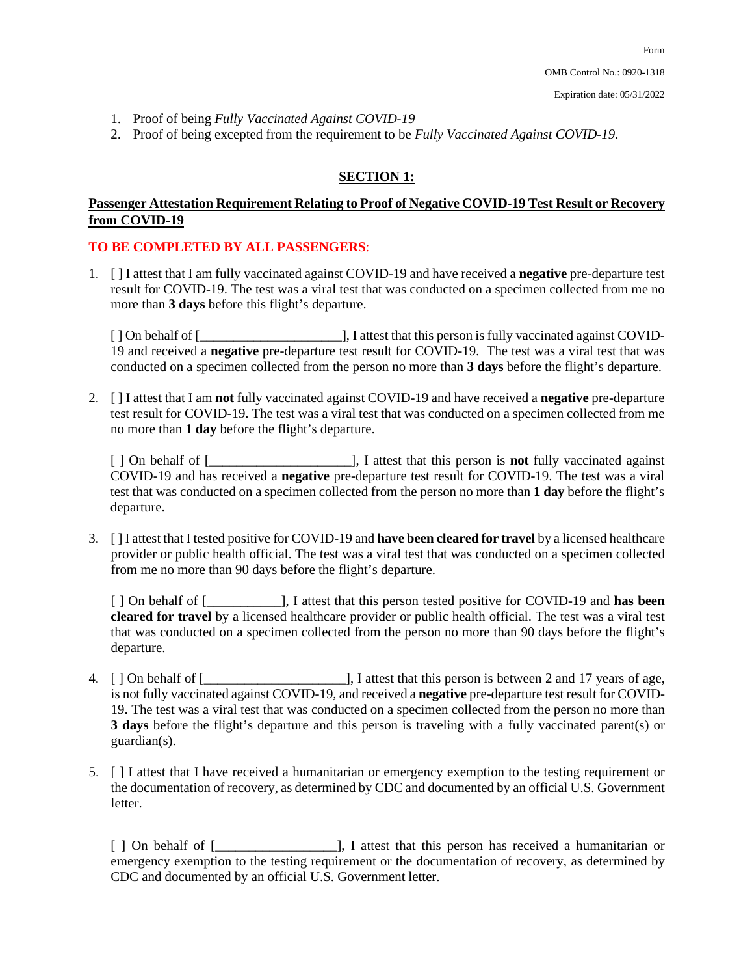- 1. Proof of being *Fully Vaccinated Against COVID-19*
- 2. Proof of being excepted from the requirement to be *Fully Vaccinated Against COVID-19*.

#### **SECTION 1:**

## **Passenger Attestation Requirement Relating to Proof of Negative COVID-19 Test Result or Recovery from COVID-19**

#### **TO BE COMPLETED BY ALL PASSENGERS**:

1. [ ] I attest that I am fully vaccinated against COVID-19 and have received a **negative** pre-departure test result for COVID-19. The test was a viral test that was conducted on a specimen collected from me no more than **3 days** before this flight's departure.

[ ] On behalf of [\_\_\_\_\_\_\_\_\_\_\_\_\_\_\_\_\_\_\_\_\_], I attest that this person is fully vaccinated against COVID-19 and received a **negative** pre-departure test result for COVID-19. The test was a viral test that was conducted on a specimen collected from the person no more than **3 days** before the flight's departure.

2. [ ] I attest that I am **not** fully vaccinated against COVID-19 and have received a **negative** pre-departure test result for COVID-19. The test was a viral test that was conducted on a specimen collected from me no more than **1 day** before the flight's departure.

[ ] On behalf of [\_\_\_\_\_\_\_\_\_\_\_\_\_\_\_\_\_\_\_\_\_], I attest that this person is **not** fully vaccinated against COVID-19 and has received a **negative** pre-departure test result for COVID-19. The test was a viral test that was conducted on a specimen collected from the person no more than **1 day** before the flight's departure.

3. [ ] I attest that I tested positive for COVID-19 and **have been cleared for travel** by a licensed healthcare provider or public health official. The test was a viral test that was conducted on a specimen collected from me no more than 90 days before the flight's departure.

[ ] On behalf of [\_\_\_\_\_\_\_\_\_\_\_], I attest that this person tested positive for COVID-19 and **has been cleared for travel** by a licensed healthcare provider or public health official. The test was a viral test that was conducted on a specimen collected from the person no more than 90 days before the flight's departure.

- 4. [ ] On behalf of [\_\_\_\_\_\_\_\_\_\_\_\_\_\_\_\_\_\_\_\_\_], I attest that this person is between 2 and 17 years of age, is not fully vaccinated against COVID-19, and received a **negative** pre-departure test result for COVID-19. The test was a viral test that was conducted on a specimen collected from the person no more than **3 days** before the flight's departure and this person is traveling with a fully vaccinated parent(s) or guardian(s).
- 5. [ ] I attest that I have received a humanitarian or emergency exemption to the testing requirement or the documentation of recovery, as determined by CDC and documented by an official U.S. Government letter.

[ ] On behalf of [\_\_\_\_\_\_\_\_\_\_\_\_\_\_\_\_\_\_], I attest that this person has received a humanitarian or emergency exemption to the testing requirement or the documentation of recovery, as determined by CDC and documented by an official U.S. Government letter.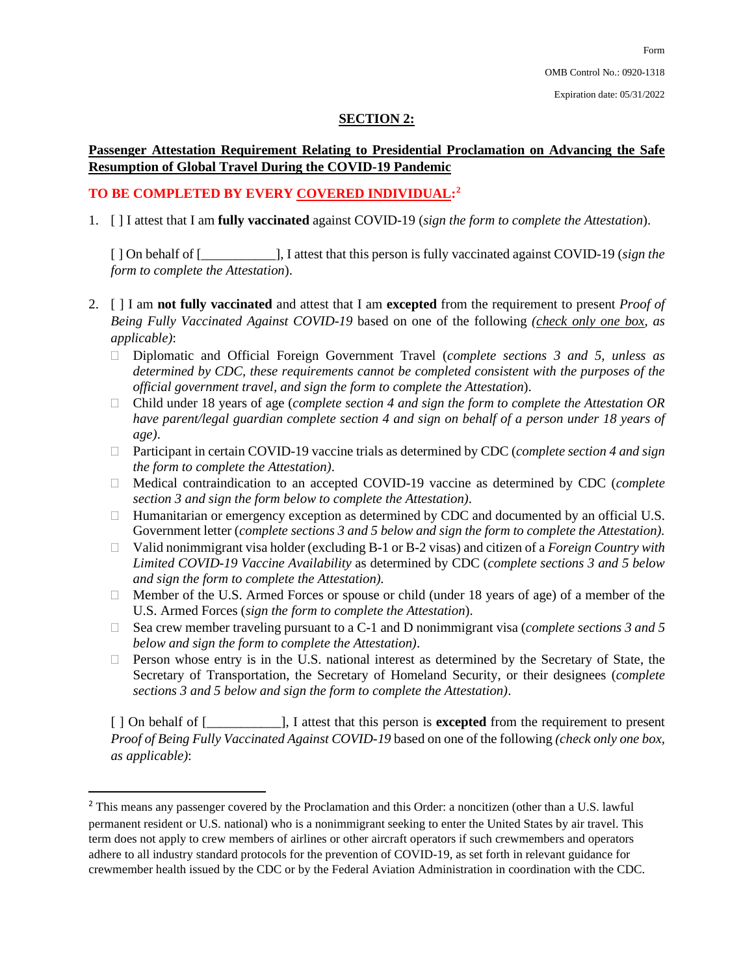## **SECTION 2:**

### **Passenger Attestation Requirement Relating to Presidential Proclamation on Advancing the Safe Resumption of Global Travel During the COVID-19 Pandemic**

# **TO BE COMPLETED BY EVERY COVERED INDIVIDUAL:[2](#page-2-0)**

1. [ ] I attest that I am **fully vaccinated** against COVID-19 (*sign the form to complete the Attestation*).

[ ] On behalf of [\_\_\_\_\_\_\_\_\_\_\_], I attest that this person is fully vaccinated against COVID-19 (*sign the form to complete the Attestation*).

- 2. [ ] I am **not fully vaccinated** and attest that I am **excepted** from the requirement to present *Proof of Being Fully Vaccinated Against COVID-19* based on one of the following *(check only one box, as applicable)*:
	- Diplomatic and Official Foreign Government Travel (*complete sections 3 and 5, unless as determined by CDC, these requirements cannot be completed consistent with the purposes of the official government travel, and sign the form to complete the Attestation*).
	- Child under 18 years of age (*complete section 4 and sign the form to complete the Attestation OR have parent/legal guardian complete section 4 and sign on behalf of a person under 18 years of age)*.
	- Participant in certain COVID-19 vaccine trials as determined by CDC (*complete section 4 and sign the form to complete the Attestation)*.
	- Medical contraindication to an accepted COVID-19 vaccine as determined by CDC (*complete section 3 and sign the form below to complete the Attestation)*.
	- $\Box$  Humanitarian or emergency exception as determined by CDC and documented by an official U.S. Government letter (*complete sections 3 and 5 below and sign the form to complete the Attestation).*
	- Valid nonimmigrant visa holder (excluding B-1 or B-2 visas) and citizen of a *Foreign Country with Limited COVID-19 Vaccine Availability* as determined by CDC (*complete sections 3 and 5 below and sign the form to complete the Attestation).*
	- □ Member of the U.S. Armed Forces or spouse or child (under 18 years of age) of a member of the U.S. Armed Forces (*sign the form to complete the Attestation*).
	- Sea crew member traveling pursuant to a C-1 and D nonimmigrant visa (*complete sections 3 and 5 below and sign the form to complete the Attestation)*.
	- $\Box$  Person whose entry is in the U.S. national interest as determined by the Secretary of State, the Secretary of Transportation, the Secretary of Homeland Security, or their designees (*complete sections 3 and 5 below and sign the form to complete the Attestation)*.

[ ] On behalf of [\_\_\_\_\_\_\_\_\_\_\_], I attest that this person is **excepted** from the requirement to present *Proof of Being Fully Vaccinated Against COVID-19* based on one of the following *(check only one box, as applicable)*:

<span id="page-2-0"></span><sup>&</sup>lt;sup>2</sup> This means any passenger covered by the Proclamation and this Order: a noncitizen (other than a U.S. lawful permanent resident or U.S. national) who is a nonimmigrant seeking to enter the United States by air travel. This term does not apply to crew members of airlines or other aircraft operators if such crewmembers and operators adhere to all industry standard protocols for the prevention of COVID-19, as set forth in relevant guidance for crewmember health issued by the CDC or by the Federal Aviation Administration in coordination with the CDC.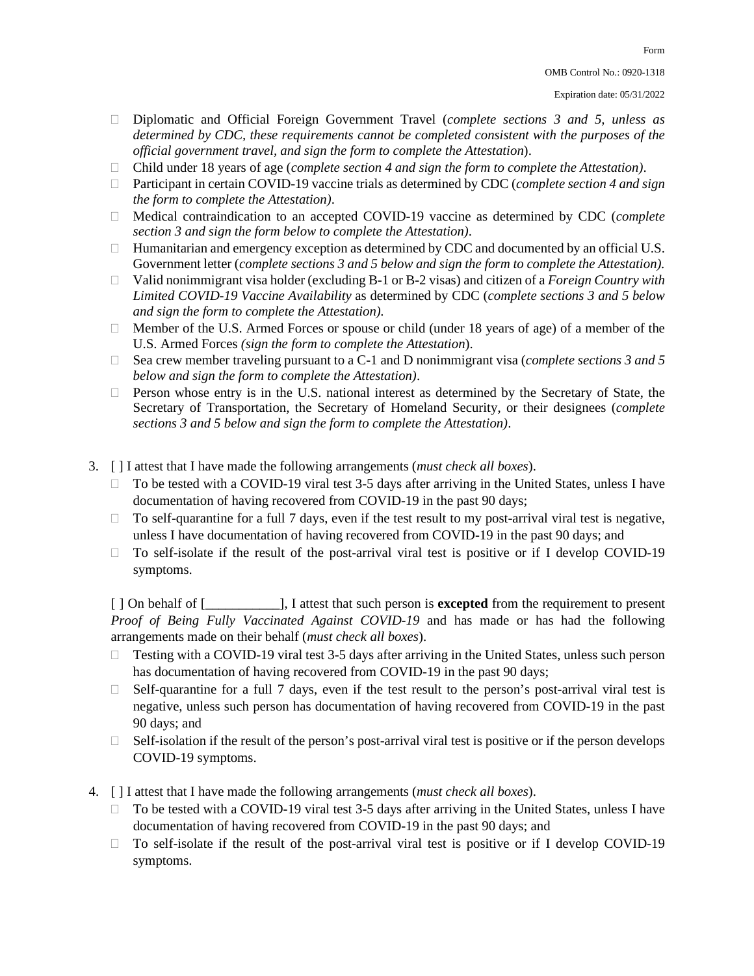Form

- Diplomatic and Official Foreign Government Travel (*complete sections 3 and 5, unless as determined by CDC, these requirements cannot be completed consistent with the purposes of the official government travel, and sign the form to complete the Attestation*).
- Child under 18 years of age (*complete section 4 and sign the form to complete the Attestation)*.
- Participant in certain COVID-19 vaccine trials as determined by CDC (*complete section 4 and sign the form to complete the Attestation)*.
- Medical contraindication to an accepted COVID-19 vaccine as determined by CDC (*complete section 3 and sign the form below to complete the Attestation)*.
- $\Box$  Humanitarian and emergency exception as determined by CDC and documented by an official U.S. Government letter (*complete sections 3 and 5 below and sign the form to complete the Attestation).*
- Valid nonimmigrant visa holder (excluding B-1 or B-2 visas) and citizen of a *Foreign Country with Limited COVID-19 Vaccine Availability* as determined by CDC (*complete sections 3 and 5 below and sign the form to complete the Attestation).*
- □ Member of the U.S. Armed Forces or spouse or child (under 18 years of age) of a member of the U.S. Armed Forces *(sign the form to complete the Attestation*).
- Sea crew member traveling pursuant to a C-1 and D nonimmigrant visa (*complete sections 3 and 5 below and sign the form to complete the Attestation)*.
- $\Box$  Person whose entry is in the U.S. national interest as determined by the Secretary of State, the Secretary of Transportation, the Secretary of Homeland Security, or their designees (*complete sections 3 and 5 below and sign the form to complete the Attestation)*.
- 3. [ ] I attest that I have made the following arrangements (*must check all boxes*).
	- $\Box$  To be tested with a COVID-19 viral test 3-5 days after arriving in the United States, unless I have documentation of having recovered from COVID-19 in the past 90 days;
	- $\Box$  To self-quarantine for a full 7 days, even if the test result to my post-arrival viral test is negative, unless I have documentation of having recovered from COVID-19 in the past 90 days; and
	- $\Box$  To self-isolate if the result of the post-arrival viral test is positive or if I develop COVID-19 symptoms.

[ ] On behalf of [\_\_\_\_\_\_\_\_\_\_\_], I attest that such person is **excepted** from the requirement to present *Proof of Being Fully Vaccinated Against COVID-19* and has made or has had the following arrangements made on their behalf (*must check all boxes*).

- $\Box$  Testing with a COVID-19 viral test 3-5 days after arriving in the United States, unless such person has documentation of having recovered from COVID-19 in the past 90 days;
- $\Box$  Self-quarantine for a full 7 days, even if the test result to the person's post-arrival viral test is negative, unless such person has documentation of having recovered from COVID-19 in the past 90 days; and
- $\Box$  Self-isolation if the result of the person's post-arrival viral test is positive or if the person develops COVID-19 symptoms.
- 4. [ ] I attest that I have made the following arrangements (*must check all boxes*).
	- $\Box$  To be tested with a COVID-19 viral test 3-5 days after arriving in the United States, unless I have documentation of having recovered from COVID-19 in the past 90 days; and
	- $\Box$  To self-isolate if the result of the post-arrival viral test is positive or if I develop COVID-19 symptoms.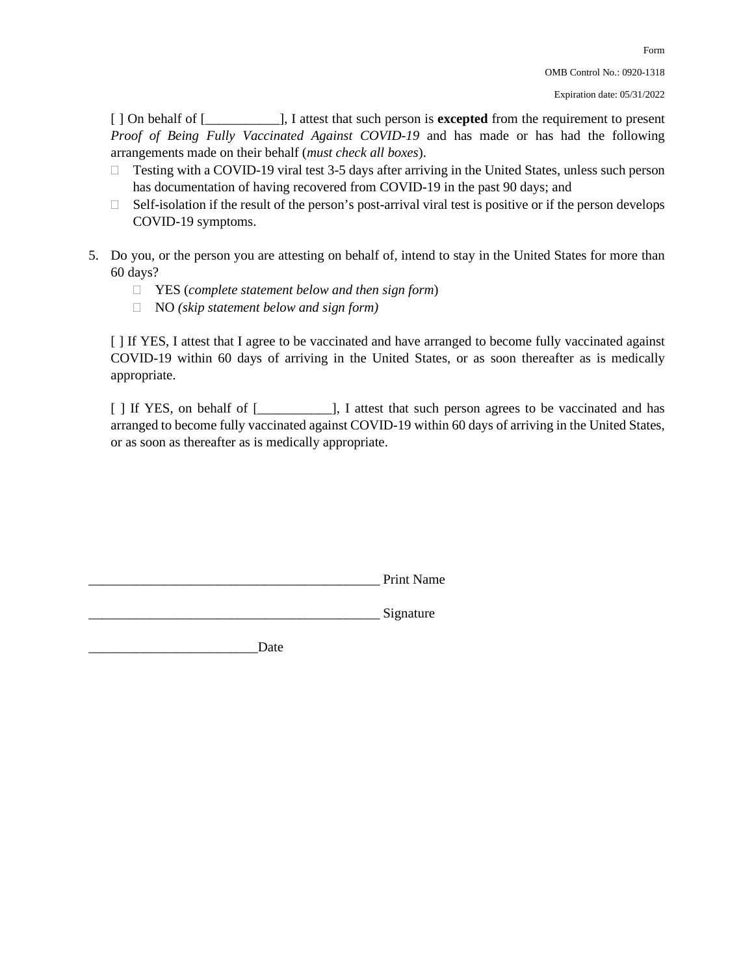[ ] On behalf of [\_\_\_\_\_\_\_\_\_\_\_], I attest that such person is **excepted** from the requirement to present *Proof of Being Fully Vaccinated Against COVID-19* and has made or has had the following arrangements made on their behalf (*must check all boxes*).

- $\Box$  Testing with a COVID-19 viral test 3-5 days after arriving in the United States, unless such person has documentation of having recovered from COVID-19 in the past 90 days; and
- $\Box$  Self-isolation if the result of the person's post-arrival viral test is positive or if the person develops COVID-19 symptoms.
- 5. Do you, or the person you are attesting on behalf of, intend to stay in the United States for more than 60 days?
	- YES (*complete statement below and then sign form*)
	- NO *(skip statement below and sign form)*

[ ] If YES, I attest that I agree to be vaccinated and have arranged to become fully vaccinated against COVID-19 within 60 days of arriving in the United States, or as soon thereafter as is medically appropriate.

[] If YES, on behalf of [\_\_\_\_\_\_\_\_\_\_], I attest that such person agrees to be vaccinated and has arranged to become fully vaccinated against COVID-19 within 60 days of arriving in the United States, or as soon as thereafter as is medically appropriate.

Signature

Date